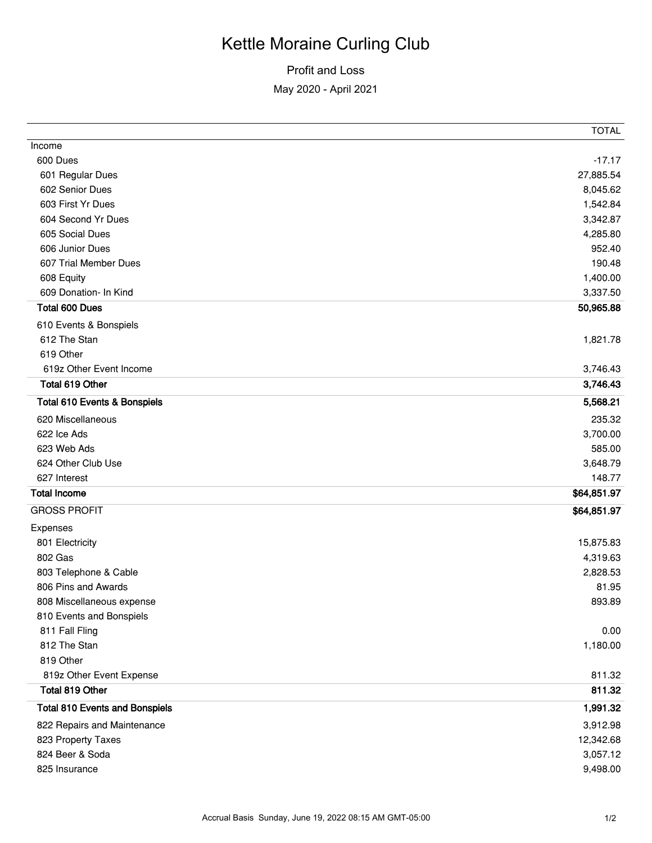## Kettle Moraine Curling Club

## Profit and Loss May 2020 - April 2021

|                                         | <b>TOTAL</b> |
|-----------------------------------------|--------------|
| Income                                  |              |
| 600 Dues                                | $-17.17$     |
| 601 Regular Dues                        | 27,885.54    |
| 602 Senior Dues                         | 8,045.62     |
| 603 First Yr Dues                       | 1,542.84     |
| 604 Second Yr Dues                      | 3,342.87     |
| 605 Social Dues                         | 4,285.80     |
| 606 Junior Dues                         | 952.40       |
| 607 Trial Member Dues                   | 190.48       |
| 608 Equity                              | 1,400.00     |
| 609 Donation- In Kind                   | 3,337.50     |
| <b>Total 600 Dues</b>                   | 50,965.88    |
| 610 Events & Bonspiels                  |              |
| 612 The Stan                            | 1,821.78     |
| 619 Other                               |              |
| 619z Other Event Income                 | 3,746.43     |
| Total 619 Other                         | 3,746.43     |
| <b>Total 610 Events &amp; Bonspiels</b> | 5,568.21     |
| 620 Miscellaneous                       | 235.32       |
| 622 Ice Ads                             | 3,700.00     |
| 623 Web Ads                             | 585.00       |
| 624 Other Club Use                      | 3,648.79     |
| 627 Interest                            | 148.77       |
| <b>Total Income</b>                     | \$64,851.97  |
| <b>GROSS PROFIT</b>                     | \$64,851.97  |
| Expenses                                |              |
| 801 Electricity                         | 15,875.83    |
| <b>802 Gas</b>                          | 4,319.63     |
| 803 Telephone & Cable                   | 2,828.53     |
| 806 Pins and Awards                     | 81.95        |
| 808 Miscellaneous expense               | 893.89       |
| 810 Events and Bonspiels                |              |
| 811 Fall Fling                          | 0.00         |
| 812 The Stan                            | 1,180.00     |
| 819 Other                               |              |
| 819z Other Event Expense                | 811.32       |
| Total 819 Other                         | 811.32       |
| <b>Total 810 Events and Bonspiels</b>   | 1,991.32     |
| 822 Repairs and Maintenance             | 3,912.98     |
| 823 Property Taxes                      | 12,342.68    |
| 824 Beer & Soda                         | 3,057.12     |
| 825 Insurance                           | 9,498.00     |